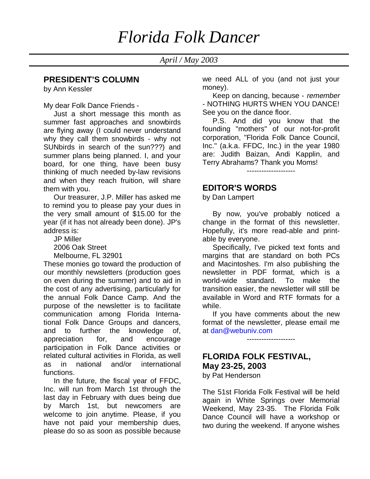*April / May 2003*

#### **PRESIDENT'S COLUMN**

by Ann Kessler

My dear Folk Dance Friends -

 Just a short message this month as summer fast approaches and snowbirds are flying away (I could never understand why they call them snowbirds - why not SUNbirds in search of the sun???) and summer plans being planned. I, and your board, for one thing, have been busy thinking of much needed by-law revisions and when they reach fruition, will share them with you.

 Our treasurer, J.P. Miller has asked me to remind you to please pay your dues in the very small amount of \$15.00 for the year (if it has not already been done). JP's address is:

JP Miller

2006 Oak Street

Melbourne, FL 32901

These monies go toward the production of our monthly newsletters (production goes on even during the summer) and to aid in the cost of any advertising, particularly for the annual Folk Dance Camp. And the purpose of the newsletter is to facilitate communication among Florida International Folk Dance Groups and dancers, and to further the knowledge of, appreciation for, and encourage participation in Folk Dance activities or related cultural activities in Florida, as well as in national and/or international functions.

 In the future, the fiscal year of FFDC, Inc. will run from March 1st through the last day in February with dues being due by March 1st, but newcomers are welcome to join anytime. Please, if you have not paid your membership dues, please do so as soon as possible because

we need ALL of you (and not just your money).

Keep on dancing, because - remember - NOTHING HURTS WHEN YOU DANCE! See you on the dance floor.

 P.S. And did you know that the founding "mothers" of our not-for-profit corporation, "Florida Folk Dance Council, Inc." (a.k.a. FFDC, Inc.) in the year 1980 are: Judith Baizan, Andi Kapplin, and Terry Abrahams? Thank you Moms!

--------------------

#### **EDITOR'S WORDS**

by Dan Lampert

 By now, you've probably noticed a change in the format of this newsletter. Hopefully, it's more read-able and printable by everyone.

 Specifically, I've picked text fonts and margins that are standard on both PCs and Macintoshes. I'm also publishing the newsletter in PDF format, which is a world-wide standard. To make the transition easier, the newsletter will still be available in Word and RTF formats for a while.

 If you have comments about the new format of the newsletter, please email me at dan@webuniv.com

--------------------

## **FLORIDA FOLK FESTIVAL, May 23-25, 2003**

by Pat Henderson

The 51st Florida Folk Festival will be held again in White Springs over Memorial Weekend, May 23-35. The Florida Folk Dance Council will have a workshop or two during the weekend. If anyone wishes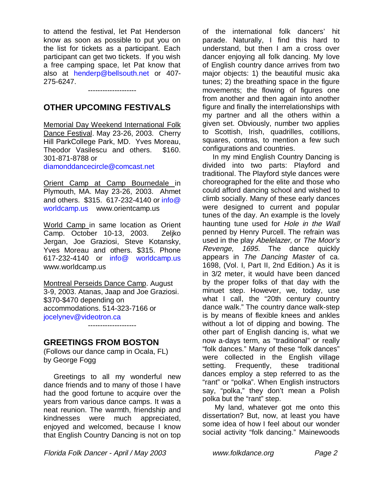to attend the festival, let Pat Henderson know as soon as possible to put you on the list for tickets as a participant. Each participant can get two tickets. If you wish a free camping space, let Pat know that also at henderp@bellsouth.net or 407- 275-6247.

## **OTHER UPCOMING FESTIVALS**

--------------------

Memorial Day Weekend International Folk Dance Festival. May 23-26, 2003. Cherry Hill ParkCollege Park, MD. Yves Moreau, Theodor Vasilescu and others. \$160. 301-871-8788 or diamonddancecircle@comcast.net

Orient Camp at Camp Bournedale in Plymouth, MA. May 23-26, 2003. Ahmet and others. \$315. 617-232-4140 or info@ worldcamp.us www.orientcamp.us

World Camp in same location as Orient Camp. October 10-13, 2003. Zeljko Jergan, Joe Graziosi, Steve Kotansky, Yves Moreau and others. \$315. Phone 617-232-4140 or info@ worldcamp.us www.worldcamp.us

Montreal Perseids Dance Camp. August 3-9, 2003. Atanas, Jaap and Joe Graziosi. \$370-\$470 depending on accommodations. 514-323-7166 or jocelynev@videotron.ca

--------------------

### **GREETINGS FROM BOSTON**

(Follows our dance camp in Ocala, FL) by George Fogg

 Greetings to all my wonderful new dance friends and to many of those I have had the good fortune to acquire over the years from various dance camps. It was a neat reunion. The warmth, friendship and kindnesses were much appreciated, enjoyed and welcomed, because I know that English Country Dancing is not on top

of the international folk dancers' hit parade. Naturally, I find this hard to understand, but then I am a cross over dancer enjoying all folk dancing. My love of English country dance arrives from two major objects: 1) the beautiful music aka tunes; 2) the breathing space in the figure movements; the flowing of figures one from another and then again into another figure and finally the interrelationships with my partner and all the others within a given set. Obviously, number two applies to Scottish, Irish, quadrilles, cotillions, squares, contras, to mention a few such configurations and countries.

 In my mind English Country Dancing is divided into two parts: Playford and traditional. The Playford style dances were choreographed for the elite and those who could afford dancing school and wished to climb socially. Many of these early dances were designed to current and popular tunes of the day. An example is the lovely haunting tune used for Hole in the Wall penned by Henry Purcell. The refrain was used in the play Abelelazer, or The Moor's Revenge, 1695. The dance quickly appears in The Dancing Master of ca. 1698, (Vol. I, Part II, 2nd Edition.) As it is in 3/2 meter, it would have been danced by the proper folks of that day with the minuet step. However, we, today, use what I call, the "20th century country dance walk." The country dance walk-step is by means of flexible knees and ankles without a lot of dipping and bowing. The other part of English dancing is, what we now a-days term, as "traditional" or really "folk dances." Many of these "folk dances" were collected in the English village setting. Frequently, these traditional dances employ a step referred to as the "rant" or "polka". When English instructors say, "polka," they don't mean a Polish polka but the "rant" step.

 My land, whatever got me onto this dissertation? But, now, at least you have some idea of how I feel about our wonder social activity "folk dancing." Mainewoods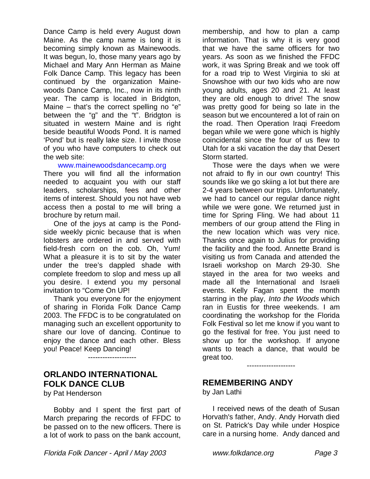Dance Camp is held every August down Maine. As the camp name is long it is becoming simply known as Mainewoods. It was begun, lo, those many years ago by Michael and Mary Ann Herman as Maine Folk Dance Camp. This legacy has been continued by the organization Mainewoods Dance Camp, Inc., now in its ninth year. The camp is located in Bridgton, Maine  $-$  that's the correct spelling no "e" between the "g" and the "t". Bridgton is situated in western Maine and is right beside beautiful Woods Pond. It is named 'Pond' but is really lake size. I invite those of you who have computers to check out the web site:

#### www.mainewoodsdancecamp.org

There you will find all the information needed to acquaint you with our staff leaders, scholarships, fees and other items of interest. Should you not have web access then a postal to me will bring a brochure by return mail.

 One of the joys at camp is the Pondside weekly picnic because that is when lobsters are ordered in and served with field-fresh corn on the cob. Oh, Yum! What a pleasure it is to sit by the water under the tree's dappled shade with complete freedom to slop and mess up all you desire. I extend you my personal invitation to "Come On UP!

 Thank you everyone for the enjoyment of sharing in Florida Folk Dance Camp 2003. The FFDC is to be congratulated on managing such an excellent opportunity to share our love of dancing. Continue to enjoy the dance and each other. Bless you! Peace! Keep Dancing!

--------------------

#### **ORLANDO INTERNATIONAL FOLK DANCE CLUB**

by Pat Henderson

 Bobby and I spent the first part of March preparing the records of FFDC to be passed on to the new officers. There is a lot of work to pass on the bank account,

membership, and how to plan a camp information. That is why it is very good that we have the same officers for two years. As soon as we finished the FFDC work, it was Spring Break and we took off for a road trip to West Virginia to ski at Snowshoe with our two kids who are now young adults, ages 20 and 21. At least they are old enough to drive! The snow was pretty good for being so late in the season but we encountered a lot of rain on the road. Then Operation Iraqi Freedom began while we were gone which is highly coincidental since the four of us flew to Utah for a ski vacation the day that Desert Storm started.

 Those were the days when we were not afraid to fly in our own country! This sounds like we go skiing a lot but there are 2-4 years between our trips. Unfortunately, we had to cancel our regular dance night while we were gone. We returned just in time for Spring Fling. We had about 11 members of our group attend the Fling in the new location which was very nice. Thanks once again to Julius for providing the facility and the food. Annette Brand is visiting us from Canada and attended the Israeli workshop on March 29-30. She stayed in the area for two weeks and made all the International and Israeli events. Kelly Fagan spent the month starring in the play, Into the Woods which ran in Eustis for three weekends. I am coordinating the workshop for the Florida Folk Festival so let me know if you want to go the festival for free. You just need to show up for the workshop. If anyone wants to teach a dance, that would be great too.

--------------------

#### **REMEMBERING ANDY**

by Jan Lathi

 I received news of the death of Susan Horvath's father, Andy. Andy Horvath died on St. Patrick's Day while under Hospice care in a nursing home. Andy danced and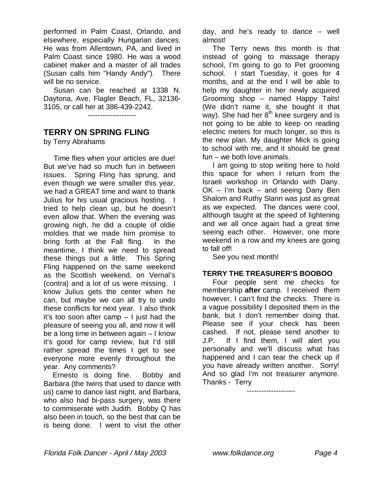performed in Palm Coast, Orlando, and elsewhere, especially Hungarian dances. He was from Allentown, PA, and lived in Palm Coast since 1980. He was a wood cabinet maker and a master of all trades (Susan calls him "Handy Andy"). There will be no service.

 Susan can be reached at 1338 N. Daytona, Ave, Flagler Beach, FL, 32136- 3105, or call her at 386-439-2242.

--------------------

## **TERRY ON SPRING FLING**

by Terry Abrahams

 Time flies when your articles are due! But we've had so much fun in between issues. Spring Fling has sprung, and even though we were smaller this year, we had a GREAT time and want to thank Julius for his usual gracious hosting. I tried to help clean up, but he doesn't even allow that. When the evening was growing nigh, he did a couple of oldie moldies that we made him promise to bring forth at the Fall fling. In the meantime, I think we need to spread these things out a little. This Spring Fling happened on the same weekend as the Scottish weekend, on Vernal's (contra) and a lot of us were missing. I know Julius gets the center when he can, but maybe we can all try to undo these conflicts for next year. I also think it's too soon after camp – I just had the pleasure of seeing you all, and now it will be a long time in between again – I know it's good for camp review, but I'd still rather spread the times I get to see everyone more evenly throughout the year. Any comments?

 Ernesto is doing fine. Bobby and Barbara (the twins that used to dance with us) came to dance last night, and Barbara, who also had bi-pass surgery, was there to commiserate with Judith. Bobby Q has also been in touch, so the best that can be is being done. I went to visit the other

day, and he's ready to dance – well almost!

 The Terry news this month is that instead of going to massage therapy school, I'm going to go to Pet grooming school. I start Tuesday, it goes for 4 months, and at the end I will be able to help my daughter in her newly acquired Grooming shop – named Happy Tails! (We didn't name it, she bought it that way). She had her  $8<sup>th</sup>$  knee surgery and is not going to be able to keep on reading electric meters for much longer, so this is the new plan. My daughter Mick is going to school with me, and it should be great fun – we both love animals.

 I am going to stop writing here to hold this space for when I return from the Israeli workshop in Orlando with Dany. OK – I'm back – and seeing Dany Ben Shalom and Ruthy Slann was just as great as we expected. The dances were cool, although taught at the speed of lightening and we all once again had a great time seeing each other. However, one more weekend in a row and my knees are going to fall off!

See you next month!

#### **TERRY THE TREASURER'S BOOBOO**

 Four people sent me checks for membership **after** camp. I received them however, I can't find the checks. There is a vague possibility I deposited them in the bank, but I don't remember doing that. Please see if your check has been cashed. If not, please send another to J.P. If I find them, I will alert you personally and we'll discuss what has happened and I can tear the check up if you have already written another. Sorry! And so glad I'm not treasurer anymore. Thanks - Terry

--------------------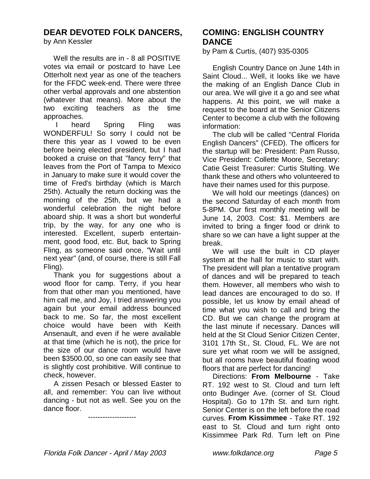## **DEAR DEVOTED FOLK DANCERS,**

by Ann Kessler

 Well the results are in - 8 all POSITIVE votes via email or postcard to have Lee Otterholt next year as one of the teachers for the FFDC week-end. There were three other verbal approvals and one abstention (whatever that means). More about the two exciting teachers as the time approaches.

 I heard Spring Fling was WONDERFUL! So sorry I could not be there this year as I vowed to be even before being elected president, but I had booked a cruise on that "fancy ferry" that leaves from the Port of Tampa to Mexico in January to make sure it would cover the time of Fred's birthday (which is March 25th). Actually the return docking was the morning of the 25th, but we had a wonderful celebration the night before aboard ship. It was a short but wonderful trip, by the way, for any one who is interested. Excellent, superb entertainment, good food, etc. But, back to Spring Fling, as someone said once, "Wait until next year" (and, of course, there is still Fall Fling).

 Thank you for suggestions about a wood floor for camp. Terry, if you hear from that other man you mentioned, have him call me, and Joy, I tried answering you again but your email address bounced back to me. So far, the most excellent choice would have been with Keith Ansenault, and even if he were available at that time (which he is not), the price for the size of our dance room would have been \$3500.00, so one can easily see that is slightly cost prohibitive. Will continue to check, however.

 A zissen Pesach or blessed Easter to all, and remember: You can live without dancing - but not as well. See you on the dance floor.

--------------------

### **COMING: ENGLISH COUNTRY DANCE**

by Pam & Curtis, (407) 935-0305

 English Country Dance on June 14th in Saint Cloud... Well, it looks like we have the making of an English Dance Club in our area. We will give it a go and see what happens. At this point, we will make a request to the board at the Senior Citizens Center to become a club with the following information:

 The club will be called "Central Florida English Dancers" (CFED). The officers for the startup will be: President: Pam Russo, Vice President: Collette Moore, Secretary: Catie Geist Treasurer: Curtis Stulting. We thank these and others who volunteered to have their names used for this purpose.

 We will hold our meetings (dances) on the second Saturday of each month from 5-8PM. Our first monthly meeting will be June 14, 2003. Cost: \$1. Members are invited to bring a finger food or drink to share so we can have a light supper at the break.

 We will use the built in CD player system at the hall for music to start with. The president will plan a tentative program of dances and will be prepared to teach them. However, all members who wish to lead dances are encouraged to do so. If possible, let us know by email ahead of time what you wish to call and bring the CD. But we can change the program at the last minute if necessary. Dances will held at the St Cloud Senior Citizen Center, 3101 17th St., St. Cloud, FL. We are not sure yet what room we will be assigned, but all rooms have beautiful floating wood floors that are perfect for dancing!

 Directions: **From Melbourne** - Take RT. 192 west to St. Cloud and turn left onto Budinger Ave. (corner of St. Cloud Hospital). Go to 17th St. and turn right. Senior Center is on the left before the road curves. **From Kissimmee** - Take RT. 192 east to St. Cloud and turn right onto Kissimmee Park Rd. Turn left on Pine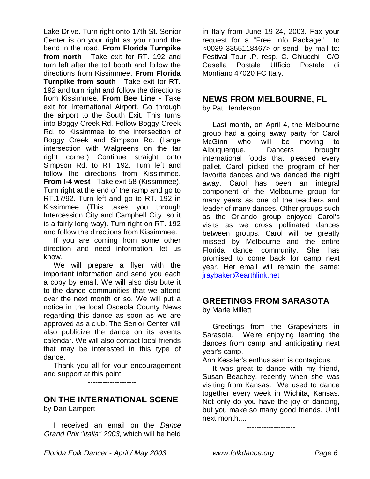Lake Drive. Turn right onto 17th St. Senior Center is on your right as you round the bend in the road. **From Florida Turnpike from north** - Take exit for RT. 192 and turn left after the toll booth and follow the directions from Kissimmee. **From Florida Turnpike from south** - Take exit for RT. 192 and turn right and follow the directions from Kissimmee. **From Bee Line** - Take exit for International Airport. Go through the airport to the South Exit. This turns into Boggy Creek Rd. Follow Boggy Creek Rd. to Kissimmee to the intersection of Boggy Creek and Simpson Rd. (Large intersection with Walgreens on the far right corner) Continue straight onto Simpson Rd. to RT 192. Turn left and follow the directions from Kissimmee. **From I-4 west** - Take exit 58 (Kissimmee). Turn right at the end of the ramp and go to RT.17/92. Turn left and go to RT. 192 in Kissimmee (This takes you through Intercession City and Campbell City, so it is a fairly long way). Turn right on RT. 192 and follow the directions from Kissimmee.

 If you are coming from some other direction and need information, let us know.

 We will prepare a flyer with the important information and send you each a copy by email. We will also distribute it to the dance communities that we attend over the next month or so. We will put a notice in the local Osceola County News regarding this dance as soon as we are approved as a club. The Senior Center will also publicize the dance on its events calendar. We will also contact local friends that may be interested in this type of dance.

 Thank you all for your encouragement and support at this point.

--------------------

# **ON THE INTERNATIONAL SCENE**

by Dan Lampert

I received an email on the Dance Grand Prix "Italia" 2003, which will be held in Italy from June 19-24, 2003. Fax your request for a "Free Info Package" to <0039 3355118467> or send by mail to: Festival Tour .P. resp. C. Chiucchi C/O Casella Postale Ufficio Postale di Montiano 47020 FC Italy.

--------------------

#### **NEWS FROM MELBOURNE, FL**

by Pat Henderson

 Last month, on April 4, the Melbourne group had a going away party for Carol McGinn who will be moving to Albuquerque. Dancers brought international foods that pleased every pallet. Carol picked the program of her favorite dances and we danced the night away. Carol has been an integral component of the Melbourne group for many years as one of the teachers and leader of many dances. Other groups such as the Orlando group enjoyed Carol's visits as we cross pollinated dances between groups. Carol will be greatly missed by Melbourne and the entire Florida dance community. She has promised to come back for camp next year. Her email will remain the same: jraybaker@earthlink.net

--------------------

#### **GREETINGS FROM SARASOTA**

by Marie Millett

 Greetings from the Grapeviners in Sarasota. We're enjoying learning the dances from camp and anticipating next year's camp.

Ann Kessler's enthusiasm is contagious.

 It was great to dance with my friend, Susan Beachey, recently when she was visiting from Kansas. We used to dance together every week in Wichita, Kansas. Not only do you have the joy of dancing, but you make so many good friends. Until next month....

--------------------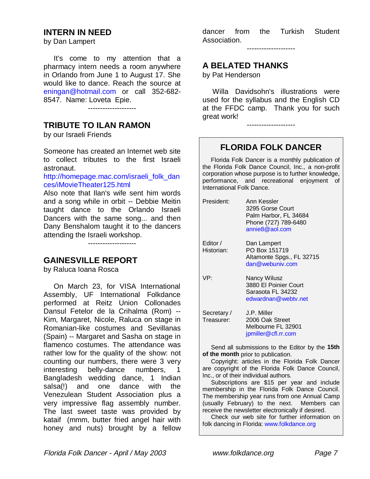#### **INTERN IN NEED**

by Dan Lampert

 It's come to my attention that a pharmacy intern needs a room anywhere in Orlando from June 1 to August 17. She would like to dance. Reach the source at eningan@hotmail.com or call 352-682- 8547. Name: Loveta Epie.

--------------------

## **TRIBUTE TO ILAN RAMON**

by our Israeli Friends

Someone has created an Internet web site to collect tributes to the first Israeli astronaut.

http://homepage.mac.com/israeli\_folk\_dan ces/iMovieTheater125.html

Also note that Ilan's wife sent him words and a song while in orbit -- Debbie Meitin taught dance to the Orlando Israeli Dancers with the same song... and then Dany Benshalom taught it to the dancers attending the Israeli workshop.

--------------------

### **GAINESVILLE REPORT**

by Raluca Ioana Rosca

 On March 23, for VISA International Assembly, UF International Folkdance performed at Reitz Union Collonades Dansul Fetelor de la Crihalma (Rom) -- Kim, Margaret, Nicole, Raluca on stage in Romanian-like costumes and Sevillanas (Spain) -- Margaret and Sasha on stage in flamenco costumes. The attendance was rather low for the quality of the show: not counting our numbers, there were 3 very interesting belly-dance numbers, 1 Bangladesh wedding dance, 1 Indian salsa(!) and one dance with the Venezulean Student Association plus a very impressive flag assembly number. The last sweet taste was provided by kataif (mmm, butter fried angel hair with honey and nuts) brought by a fellow

dancer from the Turkish Student Association.

--------------------

#### **A BELATED THANKS**

by Pat Henderson

 Willa Davidsohn's illustrations were used for the syllabus and the English CD at the FFDC camp. Thank you for such great work!

--------------------

## **FLORIDA FOLK DANCER**

 Florida Folk Dancer is a monthly publication of the Florida Folk Dance Council, Inc., a non-profit corporation whose purpose is to further knowledge, performance, and recreational enjoyment of International Folk Dance.

| President:                | Ann Kessler<br>3295 Gorse Court<br>Palm Harbor, FL 34684<br>Phone (727) 789-6480<br>annie8@aol.com |
|---------------------------|----------------------------------------------------------------------------------------------------|
| Editor /<br>Historian:    | Dan Lampert<br>PO Box 151719<br>Altamonte Spgs., FL 32715<br>dan@webuniv.com                       |
| VP:                       | Nancy Wilusz<br>3880 El Poinier Court<br>Sarasota FL 34232<br>edwardnan@webty.net                  |
| Secretary /<br>Treasurer: | J.P. Miller<br>2006 Oak Street<br>Melbourne FL 32901<br>jpmiller@cfl.rr.com                        |

 Send all submissions to the Editor by the **15th of the month** prior to publication.

 Copyright: articles in the Florida Folk Dancer are copyright of the Florida Folk Dance Council, Inc., or of their individual authors.

 Subscriptions are \$15 per year and include membership in the Florida Folk Dance Council. The membership year runs from one Annual Camp (usually February) to the next. Members can receive the newsletter electronically if desired.

 Check our web site for further information on folk dancing in Florida: www.folkdance.org